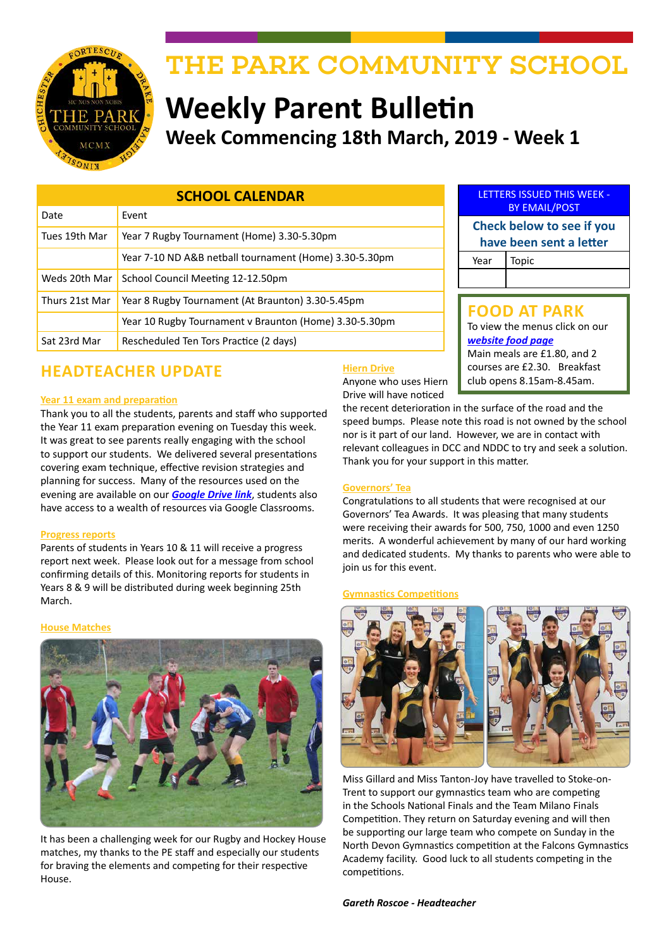

# THE PARK COMMUNITY SCHOOL

# **Weekly Parent Bulletin Week Commencing 18th March, 2019 - Week 1**

| <b>SCHOOL CALENDAR</b> |                                                        |  |
|------------------------|--------------------------------------------------------|--|
| Date                   | Event                                                  |  |
| Tues 19th Mar          | Year 7 Rugby Tournament (Home) 3.30-5.30pm             |  |
|                        | Year 7-10 ND A&B netball tournament (Home) 3.30-5.30pm |  |
| Weds 20th Mar          | School Council Meeting 12-12.50pm                      |  |
| Thurs 21st Mar         | Year 8 Rugby Tournament (At Braunton) 3.30-5.45pm      |  |
|                        | Year 10 Rugby Tournament v Braunton (Home) 3.30-5.30pm |  |
| Sat 23rd Mar           | Rescheduled Ten Tors Practice (2 days)                 |  |

# **HEADTEACHER UPDATE**<br>Anyone who uses Hiern club opens 8.15am-8.45am.

#### **Year 11 exam and preparation**

Thank you to all the students, parents and staff who supported the Year 11 exam preparation evening on Tuesday this week. It was great to see parents really engaging with the school to support our students. We delivered several presentations covering exam technique, effective revision strategies and planning for success. Many of the resources used on the evening are available on our *[Google Drive link](https://drive.google.com/drive/folders/1XGRkz3JZdSWWvgVMC6TK330L9ukl4wnB?usp=sharing)*, students also have access to a wealth of resources via Google Classrooms.

#### **Progress reports**

Parents of students in Years 10 & 11 will receive a progress report next week. Please look out for a message from school confirming details of this. Monitoring reports for students in Years 8 & 9 will be distributed during week beginning 25th March.

#### **House Matches**



It has been a challenging week for our Rugby and Hockey House matches, my thanks to the PE staff and especially our students for braving the elements and competing for their respective House.

|                         | <b>LETTERS ISSUED THIS WEEK -</b><br><b>BY EMAIL/POST</b> |  |
|-------------------------|-----------------------------------------------------------|--|
|                         | Check below to see if you                                 |  |
| have been sent a letter |                                                           |  |
| Year   Topic            |                                                           |  |

#### **FOOD AT PARK**

To view the menus click on our *[website food page](http://www.theparkschool.org.uk/food-park)* Main meals are £1.80, and 2 courses are £2.30. Breakfast

#### **Hiern Drive**

Anyone who uses Hiern Drive will have noticed

the recent deterioration in the surface of the road and the speed bumps. Please note this road is not owned by the school nor is it part of our land. However, we are in contact with relevant colleagues in DCC and NDDC to try and seek a solution. Thank you for your support in this matter.

#### **Governors' Tea**

Congratulations to all students that were recognised at our Governors' Tea Awards. It was pleasing that many students were receiving their awards for 500, 750, 1000 and even 1250 merits. A wonderful achievement by many of our hard working and dedicated students. My thanks to parents who were able to join us for this event.

#### **Gymnastics Competitions**



Miss Gillard and Miss Tanton-Joy have travelled to Stoke-on-Trent to support our gymnastics team who are competing in the Schools National Finals and the Team Milano Finals Competition. They return on Saturday evening and will then be supporting our large team who compete on Sunday in the North Devon Gymnastics competition at the Falcons Gymnastics Academy facility. Good luck to all students competing in the competitions.

*Gareth Roscoe - Headteacher*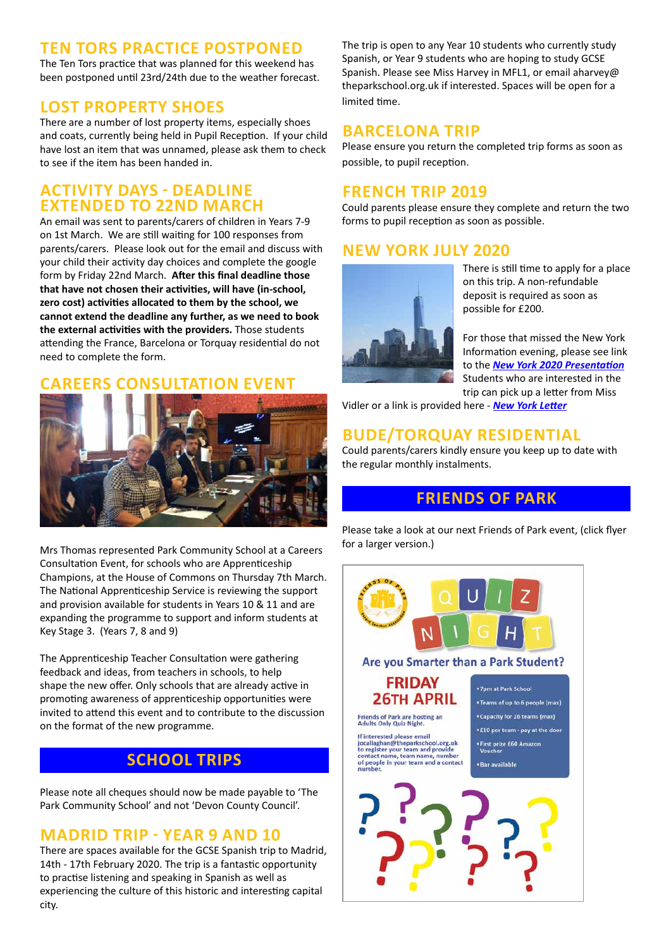#### **TEN TORS PRACTICE POSTPONED**

The Ten Tors practice that was planned for this weekend has been postponed until 23rd/24th due to the weather forecast.

# **LOST PROPERTY SHOES**

There are a number of lost property items, especially shoes and coats, currently being held in Pupil Reception. If your child have lost an item that was unnamed, please ask them to check to see if the item has been handed in.

#### **ACTIVITY DAYS - DEADLINE EXTENDED TO 22ND MARCH**

An email was sent to parents/carers of children in Years 7-9 on 1st March. We are still waiting for 100 responses from parents/carers. Please look out for the email and discuss with your child their activity day choices and complete the google form by Friday 22nd March. **After this final deadline those that have not chosen their activities, will have (in-school, zero cost) activities allocated to them by the school, we cannot extend the deadline any further, as we need to book the external activities with the providers.** Those students attending the France, Barcelona or Torquay residential do not need to complete the form.

# **CAREERS CONSULTATION EVENT**



Mrs Thomas represented Park Community School at a Careers Consultation Event, for schools who are Apprenticeship Champions, at the House of Commons on Thursday 7th March. The National Apprenticeship Service is reviewing the support and provision available for students in Years 10 & 11 and are expanding the programme to support and inform students at Key Stage 3. (Years 7, 8 and 9)

The Apprenticeship Teacher Consultation were gathering feedback and ideas, from teachers in schools, to help shape the new offer. Only schools that are already active in promoting awareness of apprenticeship opportunities were invited to attend this event and to contribute to the discussion on the format of the new programme.

# **SCHOOL TRIPS**

Please note all cheques should now be made payable to 'The Park Community School' and not 'Devon County Council'.

# **MADRID TRIP - YEAR 9 AND 10**

There are spaces available for the GCSE Spanish trip to Madrid, 14th - 17th February 2020. The trip is a fantastic opportunity to practise listening and speaking in Spanish as well as experiencing the culture of this historic and interesting capital city.

The trip is open to any Year 10 students who currently study Spanish, or Year 9 students who are hoping to study GCSE Spanish. Please see Miss Harvey in MFL1, or email aharvey@ theparkschool.org.uk if interested. Spaces will be open for a limited time.

# **BARCELONA TRIP**

Please ensure you return the completed trip forms as soon as possible, to pupil reception.

### **FRENCH TRIP 2019**

Could parents please ensure they complete and return the two forms to pupil reception as soon as possible.

# **NEW YORK JULY 2020**



There is still time to apply for a place on this trip. A non-refundable deposit is required as soon as possible for £200.

For those that missed the New York Information evening, please see link to the *[New York 2020 Presentation](http://www.theparkschool.org.uk/sites/default/files/NewYorkMeetingPowerPoint-July2020.pdf)* Students who are interested in the trip can pick up a letter from Miss

Vidler or a link is provided here - *[New York Letter](http://www.theparkschool.org.uk/sites/default/files/Payment%20Plan%20and%20Itinerary%20letter%202020.pdf)*

# **BUDE/TORQUAY RESIDENTIAL**

Could parents/carers kindly ensure you keep up to date with the regular monthly instalments.

# **FRIENDS OF PARK**

Please take a look at our next Friends of Park event, (click flyer for a larger version.)

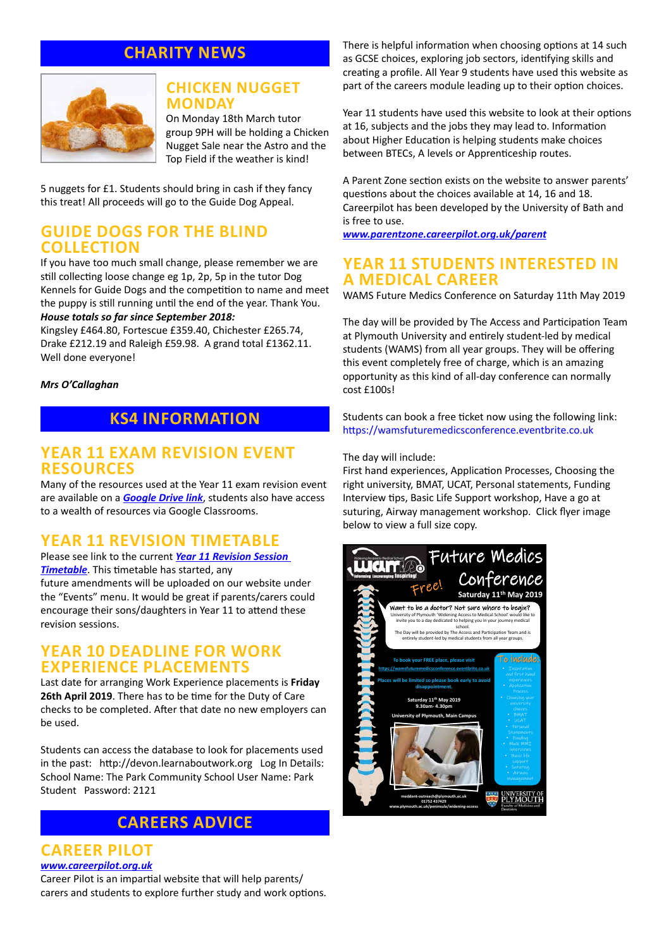# **CHARITY NEWS**



#### **CHICKEN NUGGET MONDAY**

On Monday 18th March tutor group 9PH will be holding a Chicken Nugget Sale near the Astro and the Top Field if the weather is kind!

5 nuggets for £1. Students should bring in cash if they fancy this treat! All proceeds will go to the Guide Dog Appeal.

#### **GUIDE DOGS FOR THE BLIND COLLECTION**

If you have too much small change, please remember we are still collecting loose change eg 1p, 2p, 5p in the tutor Dog Kennels for Guide Dogs and the competition to name and meet the puppy is still running until the end of the year. Thank You. *House totals so far since September 2018:*

Kingsley £464.80, Fortescue £359.40, Chichester £265.74, Drake £212.19 and Raleigh £59.98. A grand total £1362.11. Well done everyone!

#### *Mrs O'Callaghan*

#### **KS4 INFORMATION**

#### **YEAR 11 EXAM REVISION EVENT RESOURCES**

Many of the resources used at the Year 11 exam revision event are available on a *[Google Drive link](https://drive.google.com/drive/folders/1XGRkz3JZdSWWvgVMC6TK330L9ukl4wnB?usp=sharing)*, students also have access to a wealth of resources via Google Classrooms.

#### **YEAR 11 REVISION TIMETABLE**

Please see link to the current *[Year 11 Revision Session](https://docs.google.com/document/d/1dNMh7-L1kyihGF64pufxK6rpksF0LmhP7VMcilHf7oM/edit?usp=sharing)  [Timetable](https://docs.google.com/document/d/1dNMh7-L1kyihGF64pufxK6rpksF0LmhP7VMcilHf7oM/edit?usp=sharing)*. This timetable has started, any future amendments will be uploaded on our website under the "Events" menu. It would be great if parents/carers could encourage their sons/daughters in Year 11 to attend these revision sessions.

#### **YEAR 10 DEADLINE FOR WORK EXPERIENCE PLACEMENTS**

Last date for arranging Work Experience placements is **Friday 26th April 2019**. There has to be time for the Duty of Care checks to be completed. After that date no new employers can be used.

Students can access the database to look for placements used in the past: http://devon.learnaboutwork.org Log In Details: School Name: The Park Community School User Name: Park Student Password: 2121

## **CAREERS ADVICE**

#### **CAREER PILOT**

*[www.careerpilot.org.uk](http://www.careerpilot.org.uk)*

Career Pilot is an impartial website that will help parents/ carers and students to explore further study and work options. There is helpful information when choosing options at 14 such as GCSE choices, exploring job sectors, identifying skills and creating a profile. All Year 9 students have used this website as part of the careers module leading up to their option choices.

Year 11 students have used this website to look at their options at 16, subjects and the jobs they may lead to. Information about Higher Education is helping students make choices between BTECs, A levels or Apprenticeship routes.

A Parent Zone section exists on the website to answer parents' questions about the choices available at 14, 16 and 18. Careerpilot has been developed by the University of Bath and is free to use.

*[www.parentzone.careerpilot.org.uk/parent](http://www.parentzone.careerpilot.org.uk/parent)*

#### **YEAR 11 STUDENTS INTERESTED IN A MEDICAL CAREER**

WAMS Future Medics Conference on Saturday 11th May 2019

The day will be provided by The Access and Participation Team at Plymouth University and entirely student-led by medical students (WAMS) from all year groups. They will be offering this event completely free of charge, which is an amazing opportunity as this kind of all-day conference can normally cost £100s!

Students can book a free ticket now using the following link: https://wamsfuturemedicsconference.eventbrite.co.uk

#### The day will include:

First hand experiences, Application Processes, Choosing the right university, BMAT, UCAT, Personal statements, Funding Interview tips, Basic Life Support workshop, Have a go at suturing, Airway management workshop. Click flyer image below to view a full size copy.